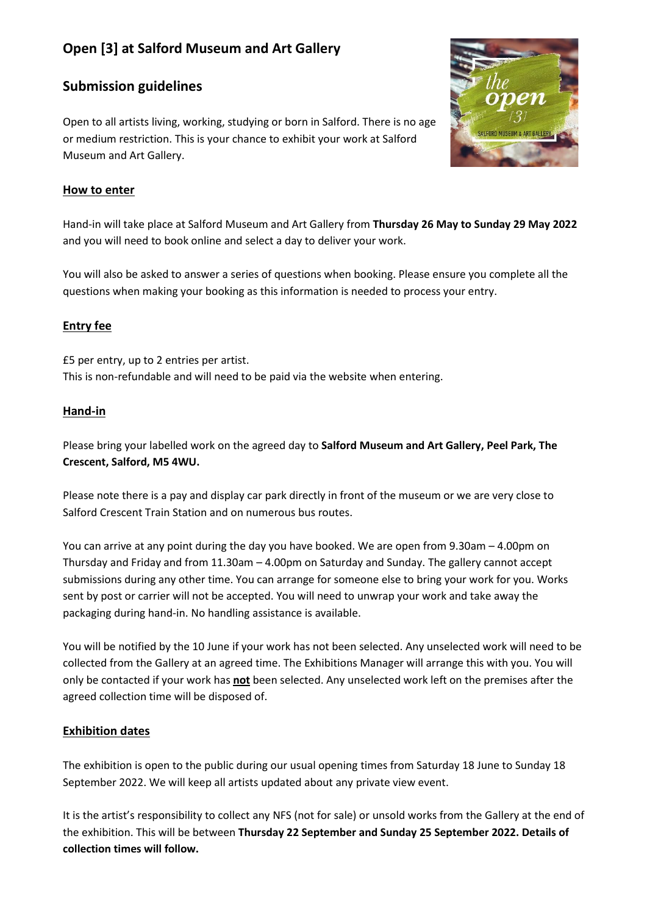# **Open [3] at Salford Museum and Art Gallery**

# **Submission guidelines**

Open to all artists living, working, studying or born in Salford. There is no age or medium restriction. This is your chance to exhibit your work at Salford Museum and Art Gallery.



# **How to enter**

Hand-in will take place at Salford Museum and Art Gallery from **Thursday 26 May to Sunday 29 May 2022** and you will need to book online and select a day to deliver your work.

You will also be asked to answer a series of questions when booking. Please ensure you complete all the questions when making your booking as this information is needed to process your entry.

# **Entry fee**

£5 per entry, up to 2 entries per artist. This is non-refundable and will need to be paid via the website when entering.

# **Hand-in**

Please bring your labelled work on the agreed day to **Salford Museum and Art Gallery, Peel Park, The Crescent, Salford, M5 4WU.**

Please note there is a pay and display car park directly in front of the museum or we are very close to Salford Crescent Train Station and on numerous bus routes.

You can arrive at any point during the day you have booked. We are open from 9.30am – 4.00pm on Thursday and Friday and from 11.30am – 4.00pm on Saturday and Sunday. The gallery cannot accept submissions during any other time. You can arrange for someone else to bring your work for you. Works sent by post or carrier will not be accepted. You will need to unwrap your work and take away the packaging during hand-in. No handling assistance is available.

You will be notified by the 10 June if your work has not been selected. Any unselected work will need to be collected from the Gallery at an agreed time. The Exhibitions Manager will arrange this with you. You will only be contacted if your work has **not** been selected. Any unselected work left on the premises after the agreed collection time will be disposed of.

# **Exhibition dates**

The exhibition is open to the public during our usual opening times from Saturday 18 June to Sunday 18 September 2022. We will keep all artists updated about any private view event.

It is the artist's responsibility to collect any NFS (not for sale) or unsold works from the Gallery at the end of the exhibition. This will be between **Thursday 22 September and Sunday 25 September 2022. Details of collection times will follow.**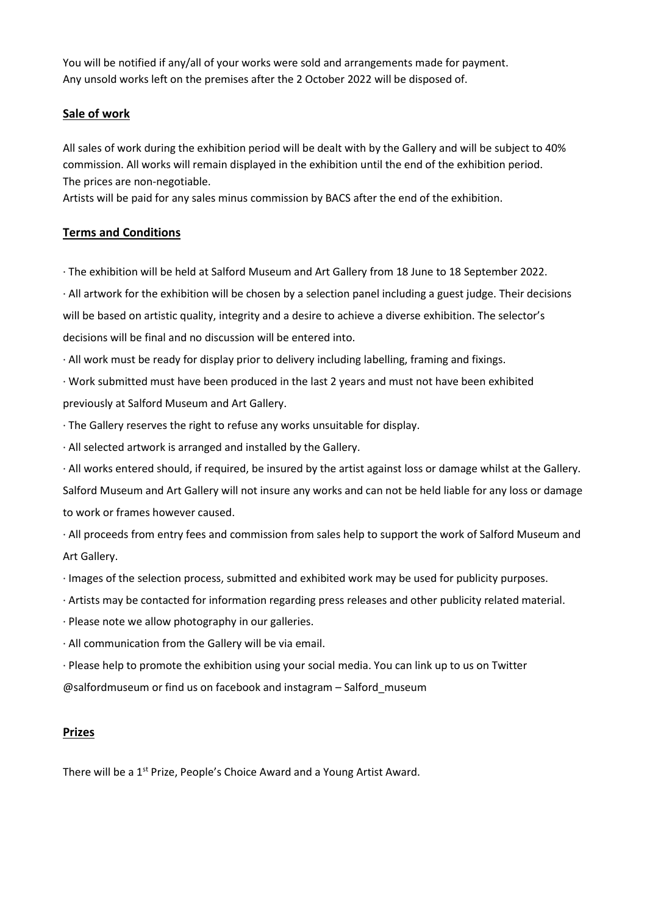You will be notified if any/all of your works were sold and arrangements made for payment. Any unsold works left on the premises after the 2 October 2022 will be disposed of.

# **Sale of work**

All sales of work during the exhibition period will be dealt with by the Gallery and will be subject to 40% commission. All works will remain displayed in the exhibition until the end of the exhibition period. The prices are non-negotiable.

Artists will be paid for any sales minus commission by BACS after the end of the exhibition.

# **Terms and Conditions**

· The exhibition will be held at Salford Museum and Art Gallery from 18 June to 18 September 2022.

· All artwork for the exhibition will be chosen by a selection panel including a guest judge. Their decisions will be based on artistic quality, integrity and a desire to achieve a diverse exhibition. The selector's decisions will be final and no discussion will be entered into.

· All work must be ready for display prior to delivery including labelling, framing and fixings.

· Work submitted must have been produced in the last 2 years and must not have been exhibited previously at Salford Museum and Art Gallery.

· The Gallery reserves the right to refuse any works unsuitable for display.

· All selected artwork is arranged and installed by the Gallery.

· All works entered should, if required, be insured by the artist against loss or damage whilst at the Gallery.

Salford Museum and Art Gallery will not insure any works and can not be held liable for any loss or damage to work or frames however caused.

· All proceeds from entry fees and commission from sales help to support the work of Salford Museum and Art Gallery.

· Images of the selection process, submitted and exhibited work may be used for publicity purposes.

· Artists may be contacted for information regarding press releases and other publicity related material.

· Please note we allow photography in our galleries.

· All communication from the Gallery will be via email.

· Please help to promote the exhibition using your social media. You can link up to us on Twitter @salfordmuseum or find us on facebook and instagram – Salford\_museum

# **Prizes**

There will be a 1<sup>st</sup> Prize, People's Choice Award and a Young Artist Award.